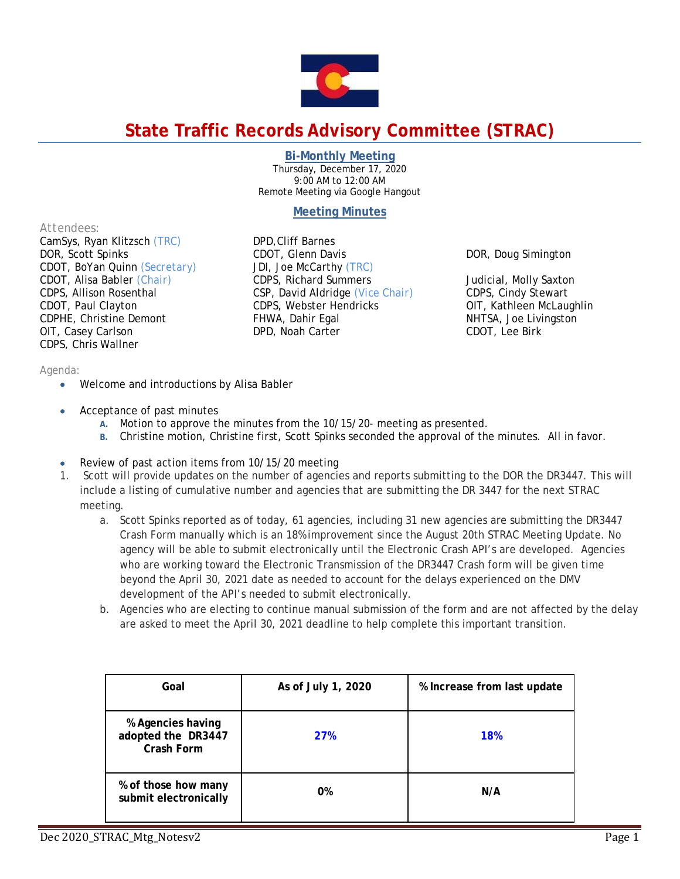

# **State Traffic Records Advisory Committee (STRAC)**

#### **Bi-Monthly Meeting**

Thursday, December 17, 2020 9:00 AM to 12:00 AM Remote Meeting via Google Hangout

## **Meeting Minutes**

DOR, Doug Simington

Judicial, Molly Saxton CDPS, Cindy Stewart OIT, Kathleen McLaughlin NHTSA, Joe Livingston

CDOT, Lee Birk

CSP, David Aldridge *(Vice Chair)* CDPS, Webster Hendricks

#### *Attendees:*

CamSys, Ryan Klitzsch *(TRC)*  DOR, Scott Spinks CDOT, BoYan Quinn *(Secretary)* CDOT, Alisa Babler *(Chair)* CDPS, Allison Rosenthal CDOT, Paul Clayton CDPHE, Christine Demont OIT, Casey Carlson CDPS, Chris Wallner

#### *Agenda:*

- Welcome and introductions by Alisa Babler
- Acceptance of past minutes
	- **A.** Motion to approve the minutes from the 10/15/20- meeting as presented.

DPD,Cliff Barnes CDOT, Glenn Davis JDI, Joe McCarthy *(TRC)*  CDPS, Richard Summers

FHWA, Dahir Egal DPD, Noah Carter

- **B.** Christine motion, Christine first, Scott Spinks seconded the approval of the minutes. All in favor.
- Review of past action items from 10/15/20 meeting
- 1. Scott will provide updates on the number of agencies and reports submitting to the DOR the DR3447. This will include a listing of cumulative number and agencies that are submitting the DR 3447 for the next STRAC meeting.
	- a. Scott Spinks reported as of today, 61 agencies, including 31 new agencies are submitting the DR3447 Crash Form manually which is an 18% improvement since the August 20th STRAC Meeting Update. No agency will be able to submit electronically until the Electronic Crash API's are developed. Agencies who are working toward the Electronic Transmission of the DR3447 Crash form will be given time beyond the April 30, 2021 date as needed to account for the delays experienced on the DMV development of the API's needed to submit electronically.
	- b. Agencies who are electing to continue manual submission of the form and are not affected by the delay are asked to meet the April 30, 2021 deadline to help complete this important transition.

| Goal                                                         | As of July 1, 2020 | % Increase from last update |
|--------------------------------------------------------------|--------------------|-----------------------------|
| % Agencies having<br>adopted the DR3447<br><b>Crash Form</b> | <b>27%</b>         | <b>18%</b>                  |
| % of those how many<br>submit electronically                 | 0%                 | N/A                         |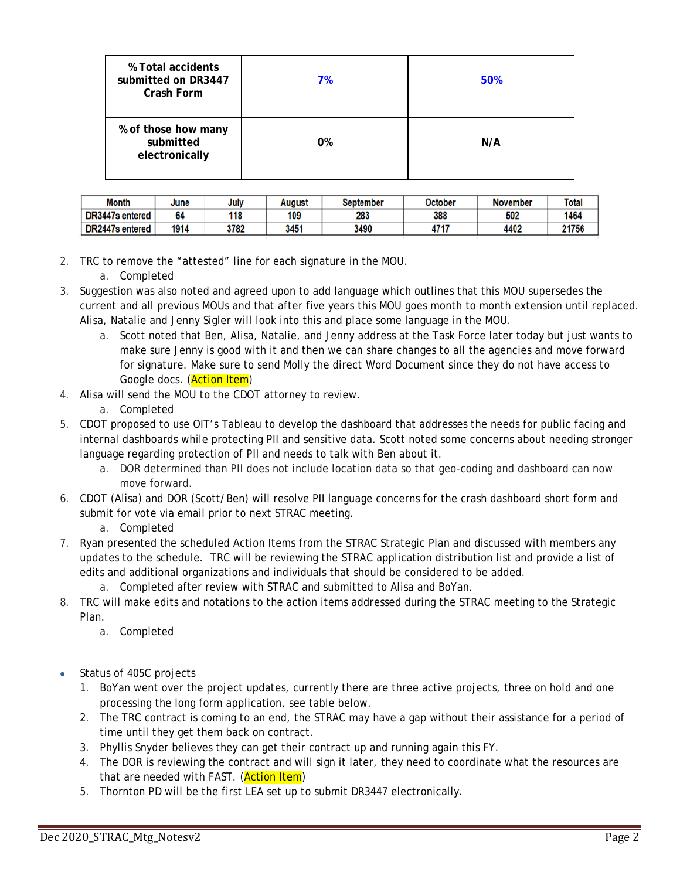| % Total accidents<br>submitted on DR3447<br>Crash Form | 7% | 50% |
|--------------------------------------------------------|----|-----|
| % of those how many<br>submitted<br>electronically     | 0% | N/A |

| <b>Month</b>    | June | July | August | <b>September</b> | <b>October</b> | <b>November</b> | <b>Total</b> |
|-----------------|------|------|--------|------------------|----------------|-----------------|--------------|
| DR3447s entered | 64   | 118  | 109    | 283              | 388            | 502             | 1464         |
| DR2447s entered | 1914 | 3782 | 3451   | 3490             | 4717           | 4402            | 21756        |

- 2. TRC to remove the "attested" line for each signature in the MOU.
	- a. Completed
- 3. Suggestion was also noted and agreed upon to add language which outlines that this MOU supersedes the current and all previous MOUs and that after five years this MOU goes month to month extension until replaced. Alisa, Natalie and Jenny Sigler will look into this and place some language in the MOU.
	- a. Scott noted that Ben, Alisa, Natalie, and Jenny address at the Task Force later today but just wants to make sure Jenny is good with it and then we can share changes to all the agencies and move forward for signature. Make sure to send Molly the direct Word Document since they do not have access to Google docs. (Action Item)
- 4. Alisa will send the MOU to the CDOT attorney to review.
	- a. Completed
- 5. CDOT proposed to use OIT's Tableau to develop the dashboard that addresses the needs for public facing and internal dashboards while protecting PII and sensitive data. Scott noted some concerns about needing stronger language regarding protection of PII and needs to talk with Ben about it.
	- a. DOR determined than PII does not include location data so that geo-coding and dashboard can now move forward.
- 6. CDOT (Alisa) and DOR (Scott/Ben) will resolve PII language concerns for the crash dashboard short form and submit for vote via email prior to next STRAC meeting.

a. Completed

- 7. Ryan presented the scheduled Action Items from the STRAC Strategic Plan and discussed with members any updates to the schedule. TRC will be reviewing the STRAC application distribution list and provide a list of edits and additional organizations and individuals that should be considered to be added.
	- a. Completed after review with STRAC and submitted to Alisa and BoYan.
- 8. TRC will make edits and notations to the action items addressed during the STRAC meeting to the Strategic Plan.
	- a. Completed
- Status of 405C projects
	- 1. BoYan went over the project updates, currently there are three active projects, three on hold and one processing the long form application, see table below.
	- 2. The TRC contract is coming to an end, the STRAC may have a gap without their assistance for a period of time until they get them back on contract.
	- 3. Phyllis Snyder believes they can get their contract up and running again this FY.
	- 4. The DOR is reviewing the contract and will sign it later, they need to coordinate what the resources are that are needed with FAST. (**Action Item**)
	- 5. Thornton PD will be the first LEA set up to submit DR3447 electronically.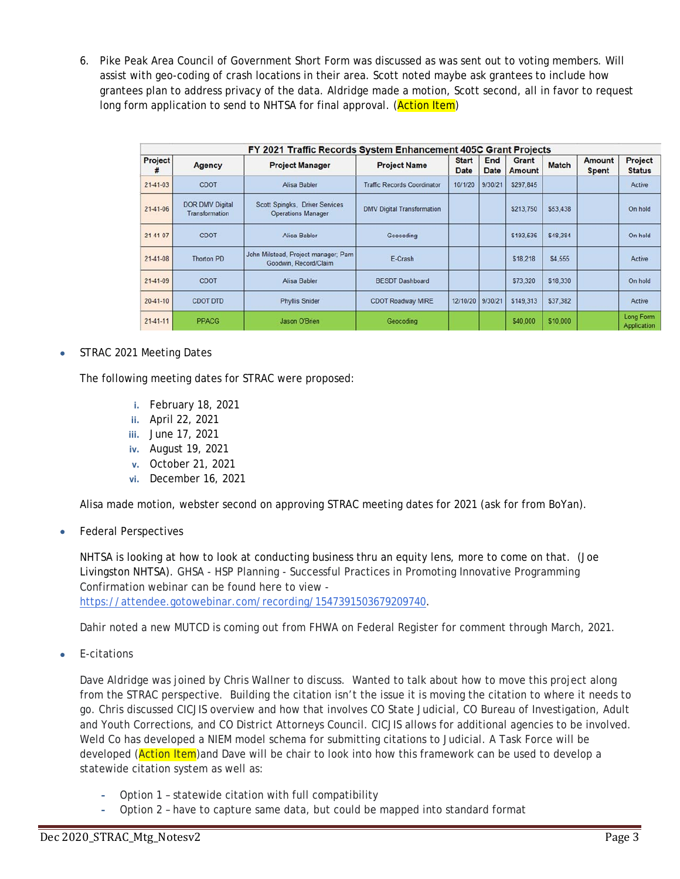6. Pike Peak Area Council of Government Short Form was discussed as was sent out to voting members. Will assist with geo-coding of crash locations in their area. Scott noted maybe ask grantees to include how grantees plan to address privacy of the data. Aldridge made a motion, Scott second, all in favor to request long form application to send to NHTSA for final approval. (Action Item)

|                | FY 2021 Traffic Records System Enhancement 405C Grant Projects |                                                              |                                    |                             |                    |                 |              |                        |                                 |
|----------------|----------------------------------------------------------------|--------------------------------------------------------------|------------------------------------|-----------------------------|--------------------|-----------------|--------------|------------------------|---------------------------------|
| Project<br>#   | <b>Agency</b>                                                  | <b>Project Manager</b>                                       | <b>Project Name</b>                | <b>Start</b><br><b>Date</b> | End<br><b>Date</b> | Grant<br>Amount | <b>Match</b> | Amount<br><b>Spent</b> | Project<br><b>Status</b>        |
| $21-41-03$     | <b>CDOT</b>                                                    | Alisa Babler                                                 | <b>Traffic Records Coordinator</b> | 10/1/20                     | 9/30/21            | \$297,845       |              |                        | Active                          |
| $21-41-06$     | <b>DOR DMV Digital</b><br>Transformation                       | Scott Spingks, Driver Services<br><b>Operations Manager</b>  | <b>DMV Digital Transformation</b>  |                             |                    | \$213,750       | \$53,438     |                        | On hold                         |
| 21-41-07       | <b>CDOT</b>                                                    | Alisa Babler                                                 | Geocoding                          |                             |                    | \$193.536       | \$48,384     |                        | On hold                         |
| $21-41-08$     | Thorton PD                                                     | John Milstead, Project manager; Pam<br>Goodwin, Record/Claim | E-Crash                            |                             |                    | \$18,218        | \$4,555      |                        | Active                          |
| $21-41-09$     | <b>CDOT</b>                                                    | Alisa Babler                                                 | <b>BESDT Dashboard</b>             |                             |                    | \$73,320        | \$18,330     |                        | On hold                         |
| $20 - 41 - 10$ | <b>CDOT DTD</b>                                                | <b>Phyllis Snider</b>                                        | <b>CDOT Roadway MIRE</b>           | 12/10/20                    | 9/30/21            | \$149,313       | \$37,382     |                        | Active                          |
| $21-41-11$     | <b>PPACG</b>                                                   | Jason O'Brien                                                | Geocoding                          |                             |                    | \$40,000        | \$10,000     |                        | Long Form<br><b>Application</b> |

STRAC 2021 Meeting Dates

The following meeting dates for STRAC were proposed:

- **i.** February 18, 2021
- **ii.** April 22, 2021
- **iii.** June 17, 2021
- **iv.** August 19, 2021
- **v.** October 21, 2021
- **vi.** December 16, 2021

Alisa made motion, webster second on approving STRAC meeting dates for 2021 (ask for from BoYan).

• Federal Perspectives

NHTSA is looking at how to look at conducting business thru an equity lens, more to come on that. (Joe Livingston NHTSA). GHSA - HSP Planning - Successful Practices in Promoting Innovative Programming Confirmation webinar can be found here to view https://attendee.gotowebinar.com/recording/1547391503679209740.

Dahir noted a new MUTCD is coming out from FHWA on Federal Register for comment through March, 2021.

E-citations

Dave Aldridge was joined by Chris Wallner to discuss. Wanted to talk about how to move this project along from the STRAC perspective. Building the citation isn't the issue it is moving the citation to where it needs to go. Chris discussed CICJIS overview and how that involves CO State Judicial, CO Bureau of Investigation, Adult and Youth Corrections, and CO District Attorneys Council. CICJIS allows for additional agencies to be involved. Weld Co has developed a NIEM model schema for submitting citations to Judicial. A Task Force will be developed (**Action Item**)and Dave will be chair to look into how this framework can be used to develop a statewide citation system as well as:

- **-** Option 1 statewide citation with full compatibility
- **-** Option 2 have to capture same data, but could be mapped into standard format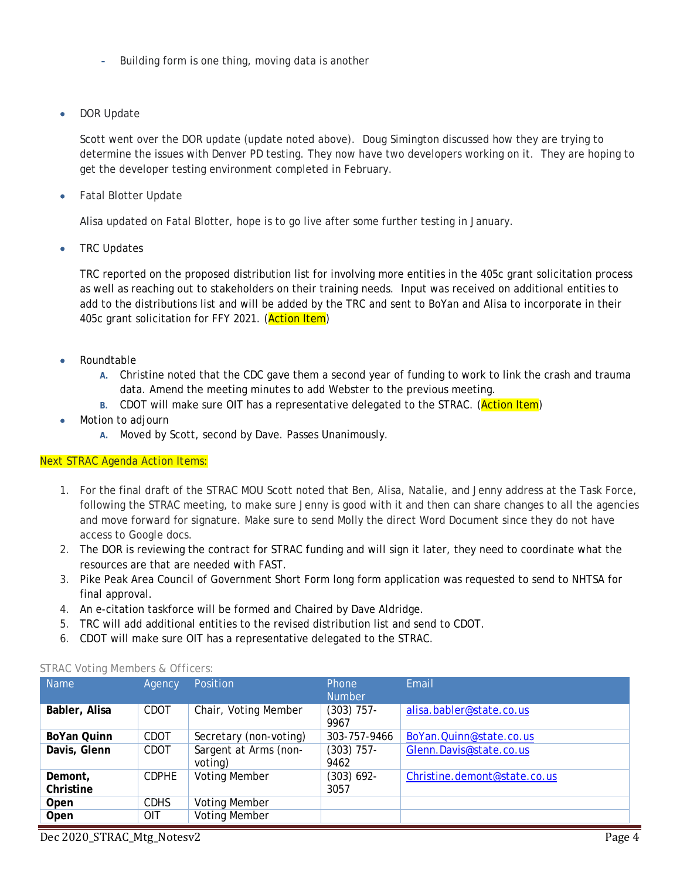- **-** Building form is one thing, moving data is another
- DOR Update

Scott went over the DOR update (update noted above). Doug Simington discussed how they are trying to determine the issues with Denver PD testing. They now have two developers working on it. They are hoping to get the developer testing environment completed in February.

Fatal Blotter Update

Alisa updated on Fatal Blotter, hope is to go live after some further testing in January.

TRC Updates

TRC reported on the proposed distribution list for involving more entities in the 405c grant solicitation process as well as reaching out to stakeholders on their training needs. Input was received on additional entities to add to the distributions list and will be added by the TRC and sent to BoYan and Alisa to incorporate in their 405c grant solicitation for FFY 2021. (Action Item)

- Roundtable
	- **A.** Christine noted that the CDC gave them a second year of funding to work to link the crash and trauma data. Amend the meeting minutes to add Webster to the previous meeting.
	- **B.** CDOT will make sure OIT has a representative delegated to the STRAC. (Action Item)
- Motion to adjourn
	- **A.** Moved by Scott, second by Dave. Passes Unanimously.

### *Next STRAC Agenda Action Items:*

- 1. For the final draft of the STRAC MOU Scott noted that Ben, Alisa, Natalie, and Jenny address at the Task Force, following the STRAC meeting, to make sure Jenny is good with it and then can share changes to all the agencies and move forward for signature. Make sure to send Molly the direct Word Document since they do not have access to Google docs.
- 2. The DOR is reviewing the contract for STRAC funding and will sign it later, they need to coordinate what the resources are that are needed with FAST.
- 3. Pike Peak Area Council of Government Short Form long form application was requested to send to NHTSA for final approval.
- 4. An e-citation taskforce will be formed and Chaired by Dave Aldridge.
- 5. TRC will add additional entities to the revised distribution list and send to CDOT.
- 6. CDOT will make sure OIT has a representative delegated to the STRAC.

| <b>Name</b>          | Agency       | <b>Position</b>                  | <b>Phone</b><br><b>Number</b> | Email                        |
|----------------------|--------------|----------------------------------|-------------------------------|------------------------------|
| Babler, Alisa        | CDOT         | Chair, Voting Member             | $(303)$ 757-<br>9967          | alisa.babler@state.co.us     |
| BoYan Quinn          | CDOT         | Secretary (non-voting)           | 303-757-9466                  | BoYan.Quinn@state.co.us      |
| Davis, Glenn         | CDOT         | Sargent at Arms (non-<br>voting) | $(303)$ 757-<br>9462          | Glenn.Davis@state.co.us      |
| Demont,<br>Christine | <b>CDPHE</b> | <b>Voting Member</b>             | $(303) 692 -$<br>3057         | Christine.demont@state.co.us |
| Open                 | <b>CDHS</b>  | <b>Voting Member</b>             |                               |                              |
| Open                 | <b>OIT</b>   | <b>Voting Member</b>             |                               |                              |

#### *STRAC Voting Members & Officers:*